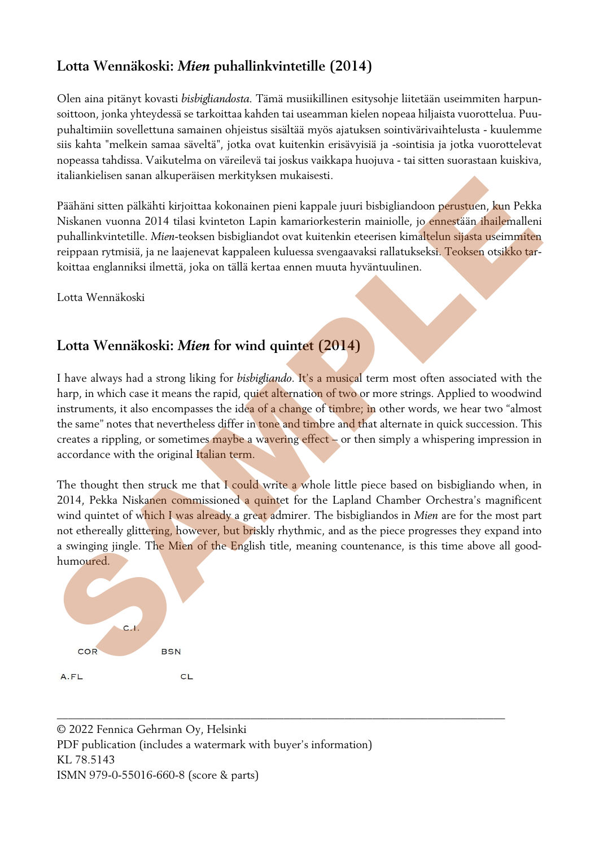### **Lotta Wennäkoski:** *Mien* **puhallinkvintetille (2014)**

Olen aina pitänyt kovasti *bisbigliandosta.* Tämä musiikillinen esitysohje liitetään useimmiten harpunsoittoon, jonka yhteydessä se tarkoittaa kahden tai useamman kielen nopeaa hiljaista vuorottelua. Puupuhaltimiin sovellettuna samainen ohjeistus sisältää myös ajatuksen sointivärivaihtelusta - kuulemme siis kahta "melkein samaa säveltä", jotka ovat kuitenkin erisävyisiä ja -sointisia ja jotka vuorottelevat nopeassa tahdissa. Vaikutelma on väreilevä tai joskus vaikkapa huojuva - tai sitten suorastaan kuiskiva, italiankielisen sanan alkuperäisen merkityksen mukaisesti.

Päähäni sitten pälkähti kirjoittaa kokonainen pieni kappale juuri bisbigliandoon perustuen, kun Pekka Niskanen vuonna 2014 tilasi kvinteton Lapin kamariorkesterin mainiolle, jo ennestään ihailemalleni puhallinkvintetille. *Mien*-teoksen bisbigliandot ovat kuitenkin eteerisen kimaltelun sijasta useimmiten reippaan rytmisiä, ja ne laajenevat kappaleen kuluessa svengaavaksi rallatukseksi. Teoksen otsikko tarkoittaa englanniksi ilmettä, joka on tällä kertaa ennen muuta hyväntuulinen.

Lotta Wennäkoski

### **Lotta Wennäkoski:** *Mien* **for wind quintet (2014)**

I have always had a strong liking for *bisbigliando*. It's a musical term most often associated with the harp, in which case it means the rapid, quiet alternation of two or more strings. Applied to woodwind instruments, it also encompasses the idea of a change of timbre; in other words, we hear two "almost the same" notes that nevertheless differ in tone and timbre and that alternate in quick succession. This creates a rippling, or sometimes maybe a wavering effect – or then simply a whispering impression in accordance with the original Italian term.

The thought then struck me that I could write a whole little piece based on bisbigliando when, in 2014, Pekka Niskanen commissioned a quintet for the Lapland Chamber Orchestra's magnificent wind quintet of which I was already a great admirer. The bisbigliandos in *Mien* are for the most part not ethereally glittering, however, but briskly rhythmic, and as the piece progresses they expand into a swinging jingle. The Mien of the English title, meaning countenance, is this time above all goodhumoured. connection states and the state interaction interaction in the main of the state of the state of the state of the state of the state of the state of the state of the state of the state of the state of the state of the sta

\_\_\_\_\_\_\_\_\_\_\_\_\_\_\_\_\_\_\_\_\_\_\_\_\_\_\_\_\_\_\_\_\_\_\_\_\_\_\_\_\_\_\_\_\_\_\_\_\_\_\_\_\_\_\_\_\_\_\_\_\_\_\_\_\_\_\_\_\_\_\_\_\_\_\_\_\_\_\_\_\_

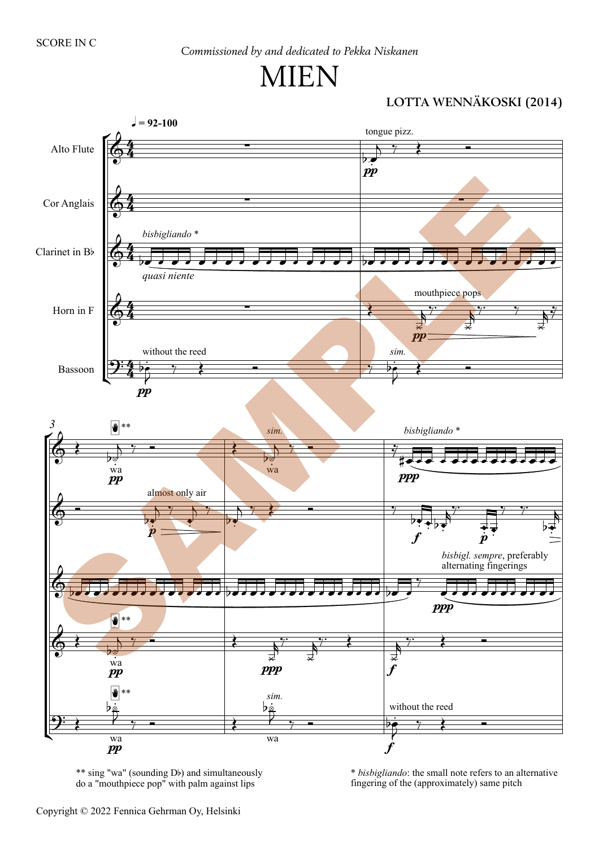# IIEN

#### LOTTA WENNÄKOSKI (2014)



\*\* sing "wa" (sounding Db) and simultaneously do a "mouthpiece pop" with palm against lips

\* *bisbigliando*: the small note refers to an alternative fingering of the (approximately) same pitch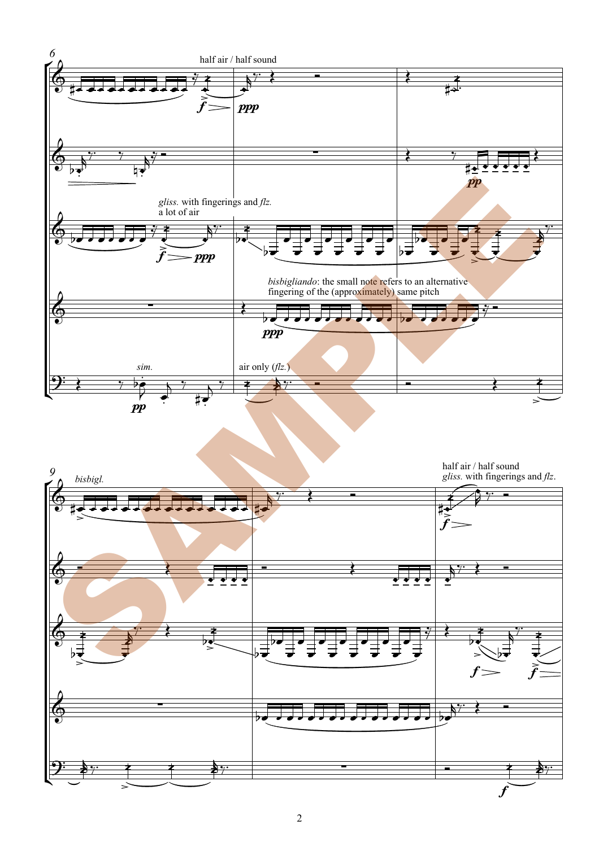

half air / half sound gliss. with fingerings and  $flz$ .



9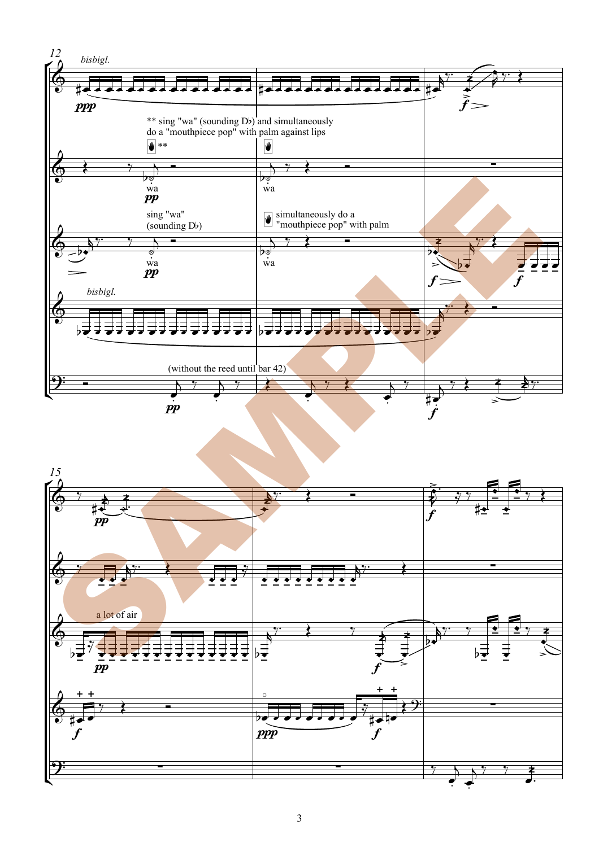

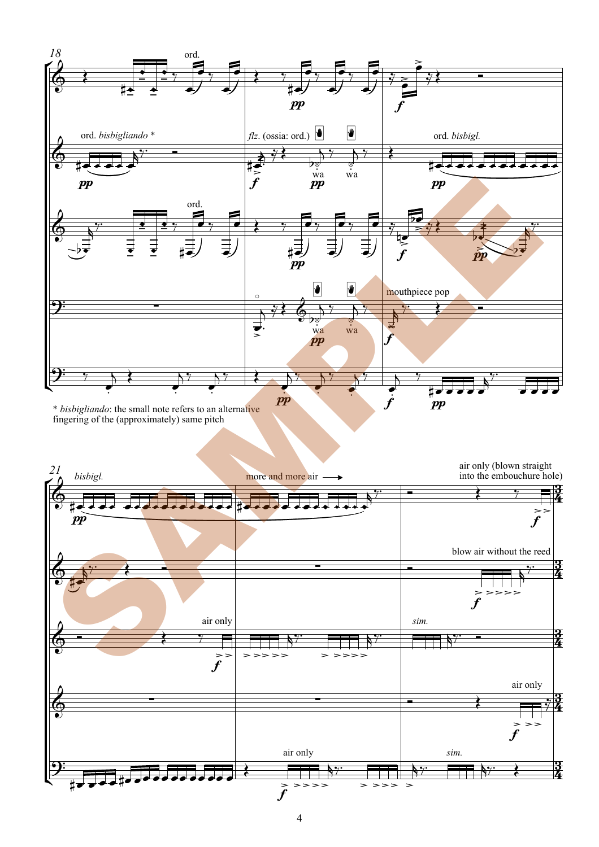